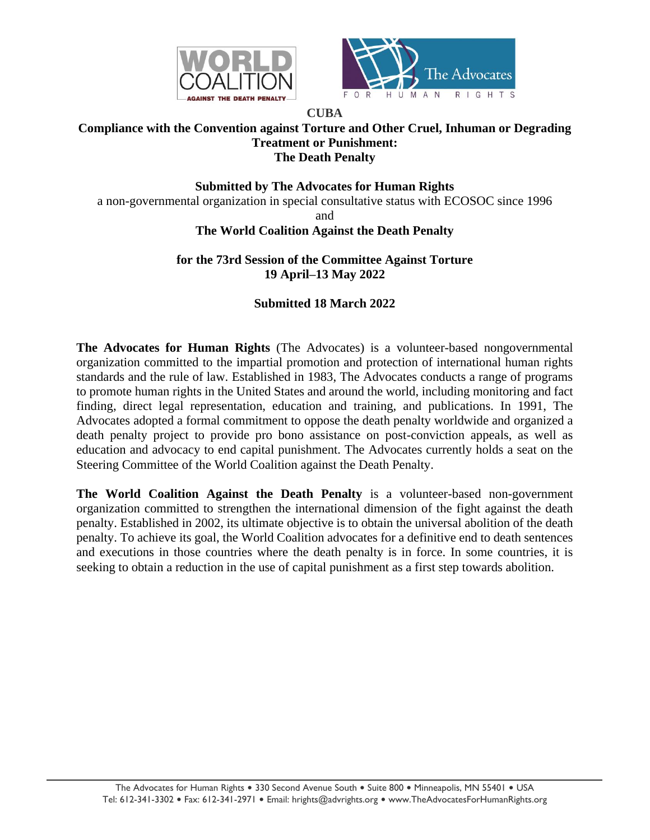



#### **CUBA Compliance with the Convention against Torture and Other Cruel, Inhuman or Degrading Treatment or Punishment: The Death Penalty**

# **Submitted by The Advocates for Human Rights**

a non-governmental organization in special consultative status with ECOSOC since 1996

and

# **The World Coalition Against the Death Penalty**

### **for the 73rd Session of the Committee Against Torture 19 April–13 May 2022**

# **Submitted 18 March 2022**

**The Advocates for Human Rights** (The Advocates) is a volunteer-based nongovernmental organization committed to the impartial promotion and protection of international human rights standards and the rule of law. Established in 1983, The Advocates conducts a range of programs to promote human rights in the United States and around the world, including monitoring and fact finding, direct legal representation, education and training, and publications. In 1991, The Advocates adopted a formal commitment to oppose the death penalty worldwide and organized a death penalty project to provide pro bono assistance on post-conviction appeals, as well as education and advocacy to end capital punishment. The Advocates currently holds a seat on the Steering Committee of the World Coalition against the Death Penalty.

**The World Coalition Against the Death Penalty** is a volunteer-based non-government organization committed to strengthen the international dimension of the fight against the death penalty. Established in 2002, its ultimate objective is to obtain the universal abolition of the death penalty. To achieve its goal, the World Coalition advocates for a definitive end to death sentences and executions in those countries where the death penalty is in force. In some countries, it is seeking to obtain a reduction in the use of capital punishment as a first step towards abolition.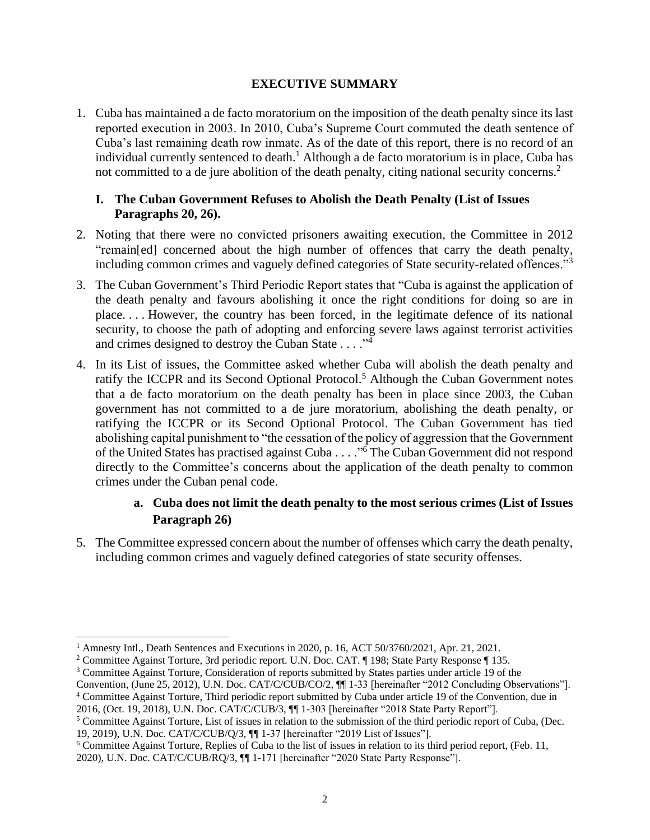#### **EXECUTIVE SUMMARY**

1. Cuba has maintained a de facto moratorium on the imposition of the death penalty since its last reported execution in 2003. In 2010, Cuba's Supreme Court commuted the death sentence of Cuba's last remaining death row inmate. As of the date of this report, there is no record of an individual currently sentenced to death.<sup>1</sup> Although a de facto moratorium is in place, Cuba has not committed to a de jure abolition of the death penalty, citing national security concerns.<sup>2</sup>

#### **I. The Cuban Government Refuses to Abolish the Death Penalty (List of Issues Paragraphs 20, 26).**

- 2. Noting that there were no convicted prisoners awaiting execution, the Committee in 2012 "remain[ed] concerned about the high number of offences that carry the death penalty, including common crimes and vaguely defined categories of State security-related offences."<sup>3</sup>
- 3. The Cuban Government's Third Periodic Report states that "Cuba is against the application of the death penalty and favours abolishing it once the right conditions for doing so are in place. . . . However, the country has been forced, in the legitimate defence of its national security, to choose the path of adopting and enforcing severe laws against terrorist activities and crimes designed to destroy the Cuban State  $\dots$ ."<sup>4</sup>
- 4. In its List of issues, the Committee asked whether Cuba will abolish the death penalty and ratify the ICCPR and its Second Optional Protocol.<sup>5</sup> Although the Cuban Government notes that a de facto moratorium on the death penalty has been in place since 2003, the Cuban government has not committed to a de jure moratorium, abolishing the death penalty, or ratifying the ICCPR or its Second Optional Protocol. The Cuban Government has tied abolishing capital punishment to "the cessation of the policy of aggression that the Government of the United States has practised against Cuba . . . ."<sup>6</sup> The Cuban Government did not respond directly to the Committee's concerns about the application of the death penalty to common crimes under the Cuban penal code.

# **a. Cuba does not limit the death penalty to the most serious crimes (List of Issues Paragraph 26)**

5. The Committee expressed concern about the number of offenses which carry the death penalty, including common crimes and vaguely defined categories of state security offenses.

<sup>1</sup> Amnesty Intl., Death Sentences and Executions in 2020, p. 16, ACT 50/3760/2021, Apr. 21, 2021.

<sup>&</sup>lt;sup>2</sup> Committee Against Torture, 3rd periodic report. U.N. Doc. CAT. ¶ 198; State Party Response ¶ 135.

<sup>3</sup> Committee Against Torture, Consideration of reports submitted by States parties under article 19 of the

Convention, (June 25, 2012), U.N. Doc. CAT/C/CUB/CO/2, ¶¶ 1-33 [hereinafter "2012 Concluding Observations"]. <sup>4</sup> Committee Against Torture, Third periodic report submitted by Cuba under article 19 of the Convention, due in

<sup>2016, (</sup>Oct. 19, 2018), U.N. Doc. CAT/C/CUB/3, ¶¶ 1-303 [hereinafter "2018 State Party Report"].

<sup>5</sup> Committee Against Torture, List of issues in relation to the submission of the third periodic report of Cuba, (Dec. 19, 2019), U.N. Doc. CAT/C/CUB/Q/3, ¶¶ 1-37 [hereinafter "2019 List of Issues"].

<sup>6</sup> Committee Against Torture, Replies of Cuba to the list of issues in relation to its third period report, (Feb. 11, 2020), U.N. Doc. CAT/C/CUB/RQ/3, ¶¶ 1-171 [hereinafter "2020 State Party Response"].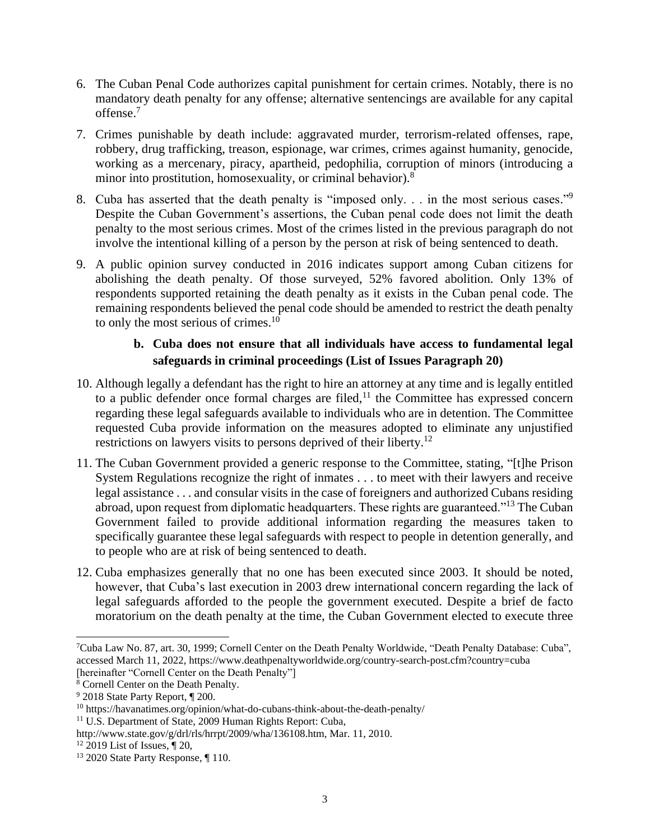- 6. The Cuban Penal Code authorizes capital punishment for certain crimes. Notably, there is no mandatory death penalty for any offense; alternative sentencings are available for any capital offense. 7
- 7. Crimes punishable by death include: aggravated murder, terrorism-related offenses, rape, robbery, drug trafficking, treason, espionage, war crimes, crimes against humanity, genocide, working as a mercenary, piracy, apartheid, pedophilia, corruption of minors (introducing a minor into prostitution, homosexuality, or criminal behavior).<sup>8</sup>
- 8. Cuba has asserted that the death penalty is "imposed only. . . in the most serious cases."<sup>9</sup> Despite the Cuban Government's assertions, the Cuban penal code does not limit the death penalty to the most serious crimes. Most of the crimes listed in the previous paragraph do not involve the intentional killing of a person by the person at risk of being sentenced to death.
- 9. A public opinion survey conducted in 2016 indicates support among Cuban citizens for abolishing the death penalty. Of those surveyed, 52% favored abolition. Only 13% of respondents supported retaining the death penalty as it exists in the Cuban penal code. The remaining respondents believed the penal code should be amended to restrict the death penalty to only the most serious of crimes.<sup>10</sup>

# **b. Cuba does not ensure that all individuals have access to fundamental legal safeguards in criminal proceedings (List of Issues Paragraph 20)**

- 10. Although legally a defendant has the right to hire an attorney at any time and is legally entitled to a public defender once formal charges are filed, $11$  the Committee has expressed concern regarding these legal safeguards available to individuals who are in detention. The Committee requested Cuba provide information on the measures adopted to eliminate any unjustified restrictions on lawyers visits to persons deprived of their liberty.<sup>12</sup>
- 11. The Cuban Government provided a generic response to the Committee, stating, "[t]he Prison System Regulations recognize the right of inmates . . . to meet with their lawyers and receive legal assistance . . . and consular visits in the case of foreigners and authorized Cubans residing abroad, upon request from diplomatic headquarters. These rights are guaranteed."<sup>13</sup> The Cuban Government failed to provide additional information regarding the measures taken to specifically guarantee these legal safeguards with respect to people in detention generally, and to people who are at risk of being sentenced to death.
- 12. Cuba emphasizes generally that no one has been executed since 2003. It should be noted, however, that Cuba's last execution in 2003 drew international concern regarding the lack of legal safeguards afforded to the people the government executed. Despite a brief de facto moratorium on the death penalty at the time, the Cuban Government elected to execute three

<sup>7</sup>Cuba Law No. 87, art. 30, 1999; Cornell Center on the Death Penalty Worldwide, "Death Penalty Database: Cuba", accessed March 11, 2022, https://www.deathpenaltyworldwide.org/country-search-post.cfm?country=cuba [hereinafter "Cornell Center on the Death Penalty"]

<sup>8</sup> Cornell Center on the Death Penalty.

<sup>9</sup> 2018 State Party Report, ¶ 200.

<sup>10</sup> https://havanatimes.org/opinion/what-do-cubans-think-about-the-death-penalty/

<sup>&</sup>lt;sup>11</sup> U.S. Department of State, 2009 Human Rights Report: Cuba,

http://www.state.gov/g/drl/rls/hrrpt/2009/wha/136108.htm, Mar. 11, 2010.

 $12$  2019 List of Issues,  $\P$  20,

<sup>&</sup>lt;sup>13</sup> 2020 State Party Response, ¶ 110.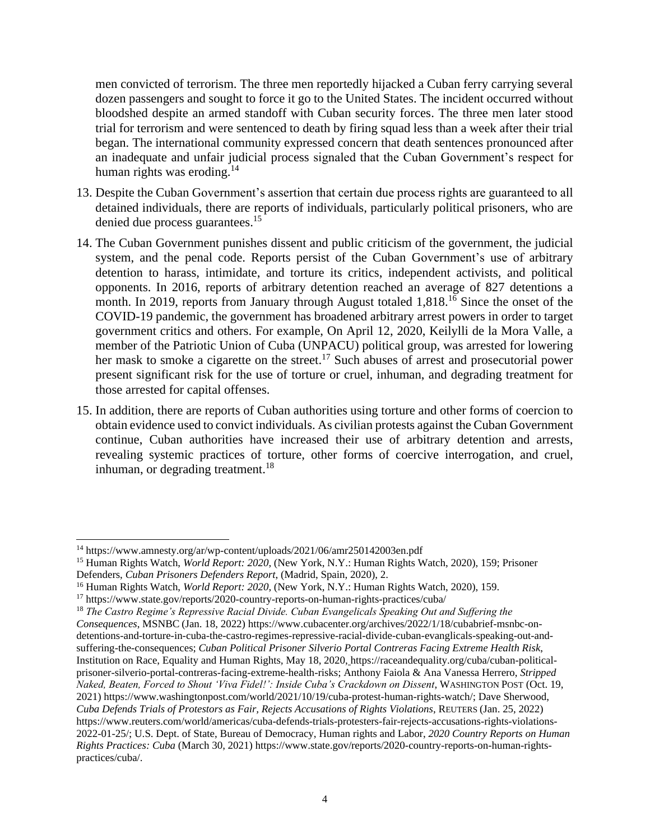men convicted of terrorism. The three men reportedly hijacked a Cuban ferry carrying several dozen passengers and sought to force it go to the United States. The incident occurred without bloodshed despite an armed standoff with Cuban security forces. The three men later stood trial for terrorism and were sentenced to death by firing squad less than a week after their trial began. The international community expressed concern that death sentences pronounced after an inadequate and unfair judicial process signaled that the Cuban Government's respect for human rights was eroding.<sup>14</sup>

- 13. Despite the Cuban Government's assertion that certain due process rights are guaranteed to all detained individuals, there are reports of individuals, particularly political prisoners, who are denied due process guarantees.<sup>15</sup>
- 14. The Cuban Government punishes dissent and public criticism of the government, the judicial system, and the penal code. Reports persist of the Cuban Government's use of arbitrary detention to harass, intimidate, and torture its critics, independent activists, and political opponents. In 2016, reports of arbitrary detention reached an average of 827 detentions a month. In 2019, reports from January through August totaled 1,818.<sup>16</sup> Since the onset of the COVID-19 pandemic, the government has broadened arbitrary arrest powers in order to target government critics and others. For example, On April 12, 2020, Keilylli de la Mora Valle, a member of the Patriotic Union of Cuba (UNPACU) political group, was arrested for lowering her mask to smoke a cigarette on the street.<sup>17</sup> Such abuses of arrest and prosecutorial power present significant risk for the use of torture or cruel, inhuman, and degrading treatment for those arrested for capital offenses.
- 15. In addition, there are reports of Cuban authorities using torture and other forms of coercion to obtain evidence used to convict individuals. As civilian protests against the Cuban Government continue, Cuban authorities have increased their use of arbitrary detention and arrests, revealing systemic practices of torture, other forms of coercive interrogation, and cruel, inhuman, or degrading treatment.<sup>18</sup>

<sup>14</sup> https://www.amnesty.org/ar/wp-content/uploads/2021/06/amr250142003en.pdf

<sup>15</sup> Human Rights Watch, *World Report: 2020*, (New York, N.Y.: Human Rights Watch, 2020), 159; Prisoner

Defenders, *Cuban Prisoners Defenders Report*, (Madrid, Spain, 2020), 2.

<sup>16</sup> Human Rights Watch, *World Report: 2020*, (New York, N.Y.: Human Rights Watch, 2020), 159.

<sup>17</sup> https://www.state.gov/reports/2020-country-reports-on-human-rights-practices/cuba/

<sup>18</sup> *The Castro Regime's Repressive Racial Divide. Cuban Evangelicals Speaking Out and Suffering the Consequences*, MSNBC (Jan. 18, 2022) https://www.cubacenter.org/archives/2022/1/18/cubabrief-msnbc-ondetentions-and-torture-in-cuba-the-castro-regimes-repressive-racial-divide-cuban-evanglicals-speaking-out-andsuffering-the-consequences; *Cuban Political Prisoner Silverio Portal Contreras Facing Extreme Health Risk*, Institution on Race, Equality and Human Rights*,* May 18, 2020, [h](https://raceandequality.org/cuba/cuban-political-prisoner-silverio-portal-contreras-facing-extreme-health-risks/)ttps://raceandequality.org/cuba/cuban-politicalprisoner-silverio-portal-contreras-facing-extreme-health-risks; Anthony Faiola & Ana Vanessa Herrero, *Stripped Naked, Beaten, Forced to Shout 'Viva Fidel!': Inside Cuba's Crackdown on Dissent*, WASHINGTON POST (Oct. 19, 2021) https://www.washingtonpost.com/world/2021/10/19/cuba-protest-human-rights-watch/; Dave Sherwood, *Cuba Defends Trials of Protestors as Fair, Rejects Accusations of Rights Violations*, REUTERS (Jan. 25, 2022) https://www.reuters.com/world/americas/cuba-defends-trials-protesters-fair-rejects-accusations-rights-violations-2022-01-25/; U.S. Dept. of State, Bureau of Democracy, Human rights and Labor, *2020 Country Reports on Human Rights Practices: Cuba* (March 30, 2021) https://www.state.gov/reports/2020-country-reports-on-human-rightspractices/cuba/.